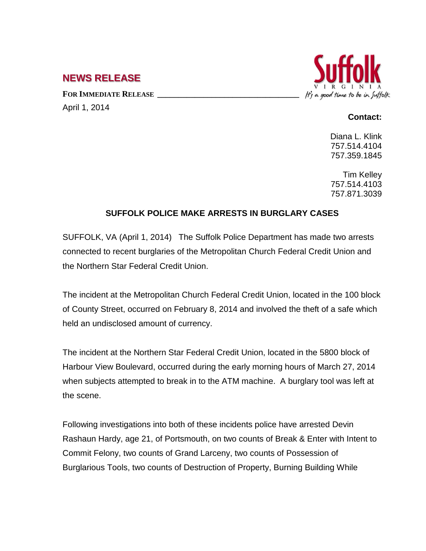## **NEWS RELEASE**

FOR **IMMEDIATE RELEASE** 

April 1, 2014

## It's a good time to be in Suffolk

## **Contact:**

Diana L. Klink 757.514.4104 757.359.1845

Tim Kelley 757.514.4103 757.871.3039

## **SUFFOLK POLICE MAKE ARRESTS IN BURGLARY CASES**

SUFFOLK, VA (April 1, 2014) The Suffolk Police Department has made two arrests connected to recent burglaries of the Metropolitan Church Federal Credit Union and the Northern Star Federal Credit Union.

The incident at the Metropolitan Church Federal Credit Union, located in the 100 block of County Street, occurred on February 8, 2014 and involved the theft of a safe which held an undisclosed amount of currency.

The incident at the Northern Star Federal Credit Union, located in the 5800 block of Harbour View Boulevard, occurred during the early morning hours of March 27, 2014 when subjects attempted to break in to the ATM machine. A burglary tool was left at the scene.

Following investigations into both of these incidents police have arrested Devin Rashaun Hardy, age 21, of Portsmouth, on two counts of Break & Enter with Intent to Commit Felony, two counts of Grand Larceny, two counts of Possession of Burglarious Tools, two counts of Destruction of Property, Burning Building While